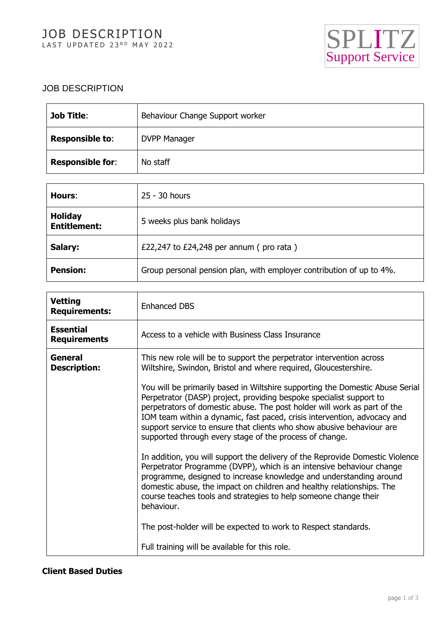

## JOB DESCRIPTION

| <b>Job Title:</b>       | Behaviour Change Support worker |
|-------------------------|---------------------------------|
| <b>Responsible to:</b>  | <b>DVPP Manager</b>             |
| <b>Responsible for:</b> | No staff                        |

| Hours:                                | 25 - 30 hours                                                        |
|---------------------------------------|----------------------------------------------------------------------|
| <b>Holiday</b><br><b>Entitlement:</b> | 5 weeks plus bank holidays                                           |
| Salary:                               | £22,247 to $£24,248$ per annum (pro rata)                            |
| <b>Pension:</b>                       | Group personal pension plan, with employer contribution of up to 4%. |

| <b>Vetting</b><br><b>Requirements:</b>  | <b>Enhanced DBS</b>                                                                                                                                                                                                                                                                                                                                                                                                                              |
|-----------------------------------------|--------------------------------------------------------------------------------------------------------------------------------------------------------------------------------------------------------------------------------------------------------------------------------------------------------------------------------------------------------------------------------------------------------------------------------------------------|
| <b>Essential</b><br><b>Requirements</b> | Access to a vehicle with Business Class Insurance                                                                                                                                                                                                                                                                                                                                                                                                |
| General<br><b>Description:</b>          | This new role will be to support the perpetrator intervention across<br>Wiltshire, Swindon, Bristol and where required, Gloucestershire.                                                                                                                                                                                                                                                                                                         |
|                                         | You will be primarily based in Wiltshire supporting the Domestic Abuse Serial<br>Perpetrator (DASP) project, providing bespoke specialist support to<br>perpetrators of domestic abuse. The post holder will work as part of the<br>IOM team within a dynamic, fast paced, crisis intervention, advocacy and<br>support service to ensure that clients who show abusive behaviour are<br>supported through every stage of the process of change. |
|                                         | In addition, you will support the delivery of the Reprovide Domestic Violence<br>Perpetrator Programme (DVPP), which is an intensive behaviour change<br>programme, designed to increase knowledge and understanding around<br>domestic abuse, the impact on children and healthy relationships. The<br>course teaches tools and strategies to help someone change their<br>behaviour.                                                           |
|                                         | The post-holder will be expected to work to Respect standards.                                                                                                                                                                                                                                                                                                                                                                                   |
|                                         | Full training will be available for this role.                                                                                                                                                                                                                                                                                                                                                                                                   |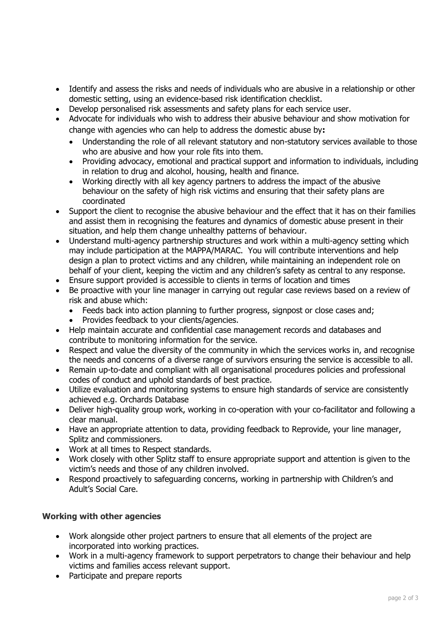- Identify and assess the risks and needs of individuals who are abusive in a relationship or other domestic setting, using an evidence-based risk identification checklist.
- Develop personalised risk assessments and safety plans for each service user.
- Advocate for individuals who wish to address their abusive behaviour and show motivation for change with agencies who can help to address the domestic abuse by**:**
	- Understanding the role of all relevant statutory and non-statutory services available to those who are abusive and how your role fits into them.
	- Providing advocacy, emotional and practical support and information to individuals, including in relation to drug and alcohol, housing, health and finance.
	- Working directly with all key agency partners to address the impact of the abusive behaviour on the safety of high risk victims and ensuring that their safety plans are coordinated
- Support the client to recognise the abusive behaviour and the effect that it has on their families and assist them in recognising the features and dynamics of domestic abuse present in their situation, and help them change unhealthy patterns of behaviour.
- Understand multi-agency partnership structures and work within a multi-agency setting which may include participation at the MAPPA/MARAC. You will contribute interventions and help design a plan to protect victims and any children, while maintaining an independent role on behalf of your client, keeping the victim and any children's safety as central to any response.
- Ensure support provided is accessible to clients in terms of location and times
- Be proactive with your line manager in carrying out regular case reviews based on a review of risk and abuse which:
	- Feeds back into action planning to further progress, signpost or close cases and;
	- Provides feedback to your clients/agencies.
- Help maintain accurate and confidential case management records and databases and contribute to monitoring information for the service.
- Respect and value the diversity of the community in which the services works in, and recognise the needs and concerns of a diverse range of survivors ensuring the service is accessible to all.
- Remain up-to-date and compliant with all organisational procedures policies and professional codes of conduct and uphold standards of best practice.
- Utilize evaluation and monitoring systems to ensure high standards of service are consistently achieved e.g. Orchards Database
- Deliver high-quality group work, working in co-operation with your co-facilitator and following a clear manual.
- Have an appropriate attention to data, providing feedback to Reprovide, your line manager, Splitz and commissioners.
- Work at all times to Respect standards.
- Work closely with other Splitz staff to ensure appropriate support and attention is given to the victim's needs and those of any children involved.
- Respond proactively to safeguarding concerns, working in partnership with Children's and Adult's Social Care.

## **Working with other agencies**

- Work alongside other project partners to ensure that all elements of the project are incorporated into working practices.
- Work in a multi-agency framework to support perpetrators to change their behaviour and help victims and families access relevant support.
- Participate and prepare reports